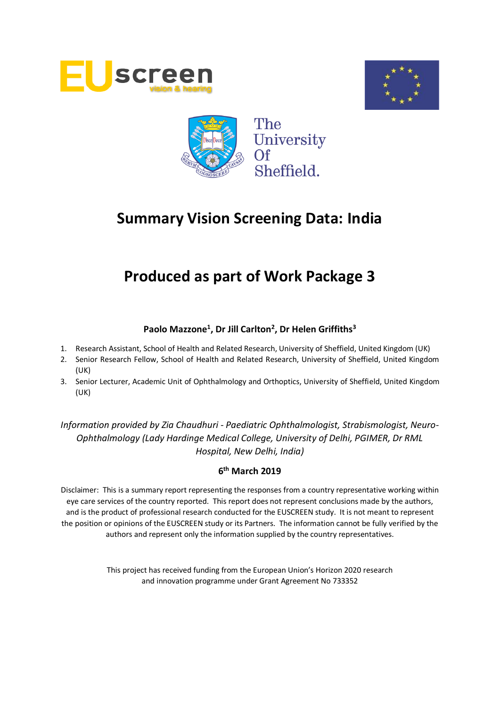





# **Produced as part of Work Package 3**

# **Paolo Mazzone<sup>1</sup> , Dr Jill Carlton<sup>2</sup> , Dr Helen Griffiths<sup>3</sup>**

- 1. Research Assistant, School of Health and Related Research, University of Sheffield, United Kingdom (UK)
- 2. Senior Research Fellow, School of Health and Related Research, University of Sheffield, United Kingdom (UK)
- 3. Senior Lecturer, Academic Unit of Ophthalmology and Orthoptics, University of Sheffield, United Kingdom (UK)

*Information provided by Zia Chaudhuri - Paediatric Ophthalmologist, Strabismologist, Neuro-Ophthalmology (Lady Hardinge Medical College, University of Delhi, PGIMER, Dr RML Hospital, New Delhi, India)*

# **6 th March 2019**

Disclaimer: This is a summary report representing the responses from a country representative working within eye care services of the country reported. This report does not represent conclusions made by the authors, and is the product of professional research conducted for the EUSCREEN study. It is not meant to represent the position or opinions of the EUSCREEN study or its Partners. The information cannot be fully verified by the authors and represent only the information supplied by the country representatives.

> This project has received funding from the European Union's Horizon 2020 research and innovation programme under Grant Agreement No 733352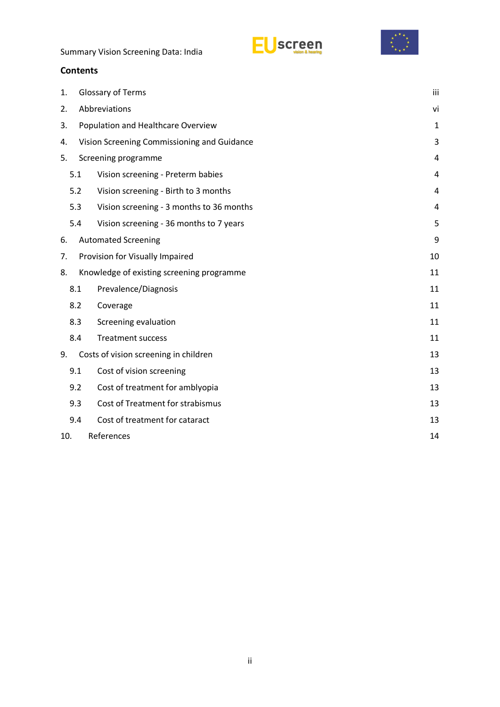



### **Contents**

| 1. |                                    | Glossary of Terms                           |    |  |  |  |  |
|----|------------------------------------|---------------------------------------------|----|--|--|--|--|
| 2. | Abbreviations                      |                                             |    |  |  |  |  |
| 3. | Population and Healthcare Overview |                                             |    |  |  |  |  |
| 4. |                                    | Vision Screening Commissioning and Guidance | 3  |  |  |  |  |
| 5. | Screening programme                |                                             |    |  |  |  |  |
|    | 5.1                                | Vision screening - Preterm babies           | 4  |  |  |  |  |
|    | 5.2                                | Vision screening - Birth to 3 months        | 4  |  |  |  |  |
|    | 5.3                                | Vision screening - 3 months to 36 months    | 4  |  |  |  |  |
|    | 5.4                                | Vision screening - 36 months to 7 years     | 5  |  |  |  |  |
| 6. |                                    | <b>Automated Screening</b>                  | 9  |  |  |  |  |
| 7. | Provision for Visually Impaired    |                                             |    |  |  |  |  |
| 8. |                                    | Knowledge of existing screening programme   | 11 |  |  |  |  |
|    | 8.1                                | Prevalence/Diagnosis                        | 11 |  |  |  |  |
|    | 8.2                                | Coverage                                    | 11 |  |  |  |  |
|    | 8.3                                | Screening evaluation                        | 11 |  |  |  |  |
|    | 8.4                                | <b>Treatment success</b>                    | 11 |  |  |  |  |
| 9. |                                    | Costs of vision screening in children       | 13 |  |  |  |  |
|    | 9.1                                | Cost of vision screening                    | 13 |  |  |  |  |
|    | 9.2                                | Cost of treatment for amblyopia             | 13 |  |  |  |  |
|    | 9.3                                | Cost of Treatment for strabismus            | 13 |  |  |  |  |
|    | 9.4                                | Cost of treatment for cataract              | 13 |  |  |  |  |
|    | References<br>10.                  |                                             |    |  |  |  |  |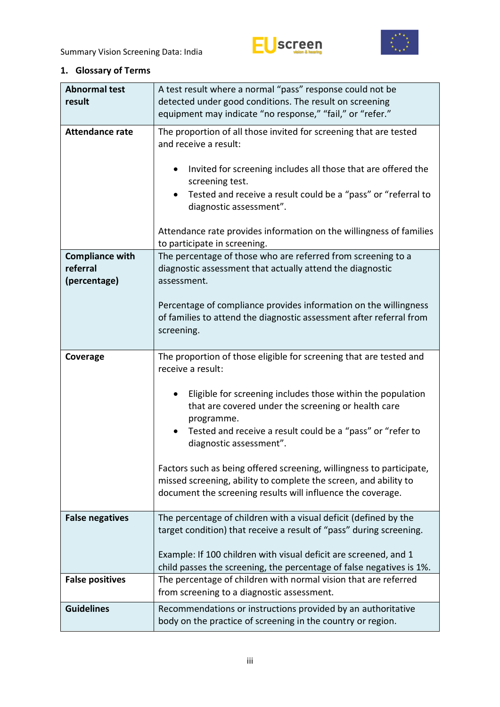



# <span id="page-2-0"></span>**1. Glossary of Terms**

| <b>Abnormal test</b><br>result | A test result where a normal "pass" response could not be<br>detected under good conditions. The result on screening                                                                                                                                                                                                                                                              |
|--------------------------------|-----------------------------------------------------------------------------------------------------------------------------------------------------------------------------------------------------------------------------------------------------------------------------------------------------------------------------------------------------------------------------------|
|                                | equipment may indicate "no response," "fail," or "refer."                                                                                                                                                                                                                                                                                                                         |
| <b>Attendance rate</b>         | The proportion of all those invited for screening that are tested<br>and receive a result:<br>Invited for screening includes all those that are offered the<br>screening test.<br>Tested and receive a result could be a "pass" or "referral to<br>diagnostic assessment".<br>Attendance rate provides information on the willingness of families<br>to participate in screening. |
| <b>Compliance with</b>         | The percentage of those who are referred from screening to a                                                                                                                                                                                                                                                                                                                      |
| referral<br>(percentage)       | diagnostic assessment that actually attend the diagnostic<br>assessment.                                                                                                                                                                                                                                                                                                          |
|                                | Percentage of compliance provides information on the willingness<br>of families to attend the diagnostic assessment after referral from<br>screening.                                                                                                                                                                                                                             |
| Coverage                       | The proportion of those eligible for screening that are tested and<br>receive a result:                                                                                                                                                                                                                                                                                           |
|                                | Eligible for screening includes those within the population<br>that are covered under the screening or health care<br>programme.                                                                                                                                                                                                                                                  |
|                                | Tested and receive a result could be a "pass" or "refer to<br>diagnostic assessment".                                                                                                                                                                                                                                                                                             |
|                                | Factors such as being offered screening, willingness to participate,<br>missed screening, ability to complete the screen, and ability to<br>document the screening results will influence the coverage.                                                                                                                                                                           |
| <b>False negatives</b>         | The percentage of children with a visual deficit (defined by the<br>target condition) that receive a result of "pass" during screening.                                                                                                                                                                                                                                           |
|                                | Example: If 100 children with visual deficit are screened, and 1<br>child passes the screening, the percentage of false negatives is 1%.                                                                                                                                                                                                                                          |
| <b>False positives</b>         | The percentage of children with normal vision that are referred<br>from screening to a diagnostic assessment.                                                                                                                                                                                                                                                                     |
| <b>Guidelines</b>              | Recommendations or instructions provided by an authoritative<br>body on the practice of screening in the country or region.                                                                                                                                                                                                                                                       |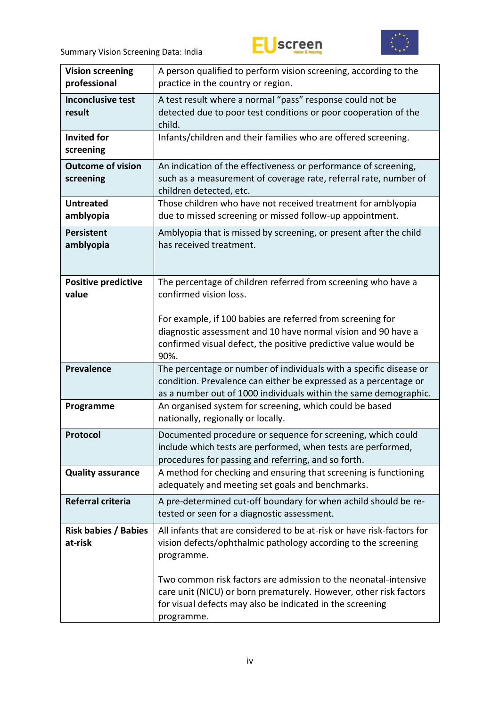



| <b>Vision screening</b><br>professional | A person qualified to perform vision screening, according to the<br>practice in the country or region.                                                                                                          |
|-----------------------------------------|-----------------------------------------------------------------------------------------------------------------------------------------------------------------------------------------------------------------|
| <b>Inconclusive test</b><br>result      | A test result where a normal "pass" response could not be<br>detected due to poor test conditions or poor cooperation of the<br>child.                                                                          |
| <b>Invited for</b><br>screening         | Infants/children and their families who are offered screening.                                                                                                                                                  |
| <b>Outcome of vision</b><br>screening   | An indication of the effectiveness or performance of screening,<br>such as a measurement of coverage rate, referral rate, number of<br>children detected, etc.                                                  |
| <b>Untreated</b><br>amblyopia           | Those children who have not received treatment for amblyopia<br>due to missed screening or missed follow-up appointment.                                                                                        |
| <b>Persistent</b><br>amblyopia          | Amblyopia that is missed by screening, or present after the child<br>has received treatment.                                                                                                                    |
| <b>Positive predictive</b><br>value     | The percentage of children referred from screening who have a<br>confirmed vision loss.                                                                                                                         |
|                                         | For example, if 100 babies are referred from screening for<br>diagnostic assessment and 10 have normal vision and 90 have a<br>confirmed visual defect, the positive predictive value would be<br>90%.          |
| <b>Prevalence</b>                       | The percentage or number of individuals with a specific disease or<br>condition. Prevalence can either be expressed as a percentage or<br>as a number out of 1000 individuals within the same demographic.      |
| Programme                               | An organised system for screening, which could be based<br>nationally, regionally or locally.                                                                                                                   |
| Protocol                                | Documented procedure or sequence for screening, which could<br>include which tests are performed, when tests are performed,<br>procedures for passing and referring, and so forth.                              |
| <b>Quality assurance</b>                | A method for checking and ensuring that screening is functioning<br>adequately and meeting set goals and benchmarks.                                                                                            |
| <b>Referral criteria</b>                | A pre-determined cut-off boundary for when achild should be re-<br>tested or seen for a diagnostic assessment.                                                                                                  |
| <b>Risk babies / Babies</b><br>at-risk  | All infants that are considered to be at-risk or have risk-factors for<br>vision defects/ophthalmic pathology according to the screening<br>programme.                                                          |
|                                         | Two common risk factors are admission to the neonatal-intensive<br>care unit (NICU) or born prematurely. However, other risk factors<br>for visual defects may also be indicated in the screening<br>programme. |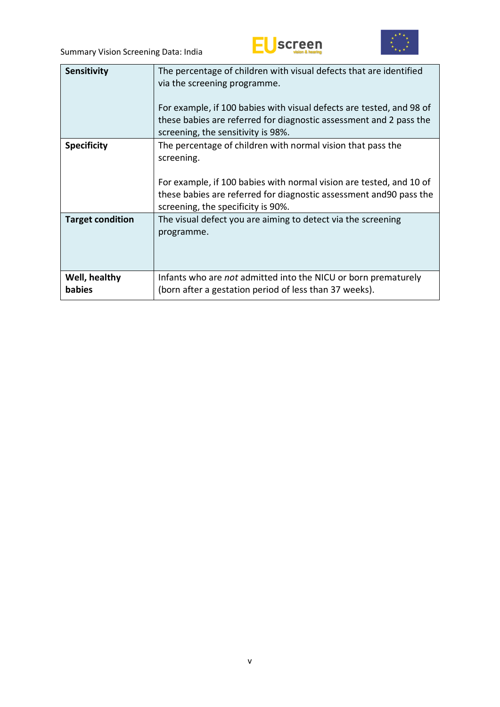



| <b>Sensitivity</b>      | The percentage of children with visual defects that are identified<br>via the screening programme.<br>For example, if 100 babies with visual defects are tested, and 98 of<br>these babies are referred for diagnostic assessment and 2 pass the<br>screening, the sensitivity is 98%. |
|-------------------------|----------------------------------------------------------------------------------------------------------------------------------------------------------------------------------------------------------------------------------------------------------------------------------------|
| <b>Specificity</b>      | The percentage of children with normal vision that pass the<br>screening.<br>For example, if 100 babies with normal vision are tested, and 10 of<br>these babies are referred for diagnostic assessment and 90 pass the<br>screening, the specificity is 90%.                          |
| <b>Target condition</b> | The visual defect you are aiming to detect via the screening<br>programme.                                                                                                                                                                                                             |
| Well, healthy<br>babies | Infants who are <i>not</i> admitted into the NICU or born prematurely<br>(born after a gestation period of less than 37 weeks).                                                                                                                                                        |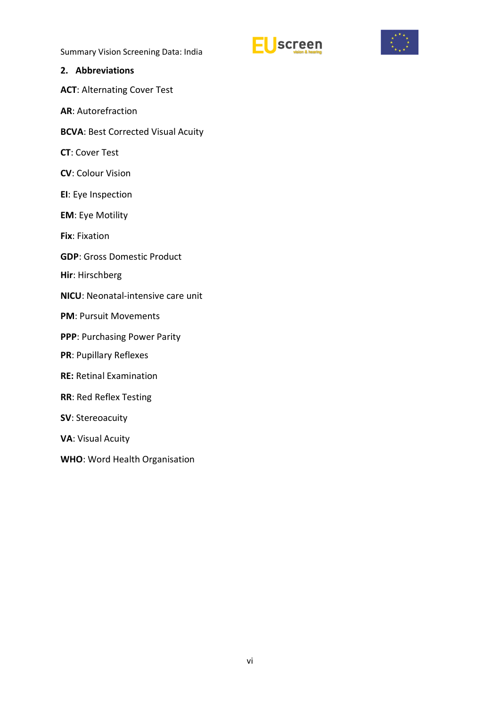



### <span id="page-5-0"></span>**2. Abbreviations**

**ACT**: Alternating Cover Test

**AR**: Autorefraction

**BCVA**: Best Corrected Visual Acuity

**CT**: Cover Test

**CV**: Colour Vision

**EI**: Eye Inspection

**EM**: Eye Motility

**Fix**: Fixation

**GDP**: Gross Domestic Product

**Hir**: Hirschberg

**NICU**: Neonatal-intensive care unit

**PM**: Pursuit Movements

**PPP**: Purchasing Power Parity

**PR**: Pupillary Reflexes

**RE:** Retinal Examination

**RR**: Red Reflex Testing

**SV**: Stereoacuity

**VA**: Visual Acuity

**WHO**: Word Health Organisation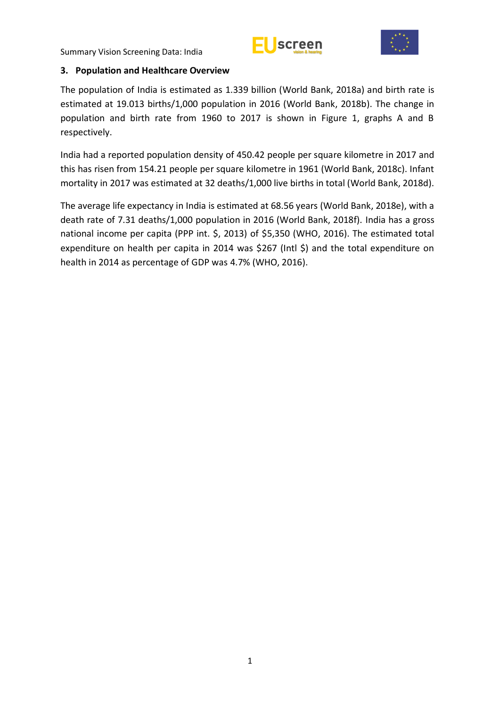



### <span id="page-6-0"></span>**3. Population and Healthcare Overview**

The population of India is estimated as 1.339 billion (World Bank, 2018a) and birth rate is estimated at 19.013 births/1,000 population in 2016 (World Bank, 2018b). The change in population and birth rate from 1960 to 2017 is shown in Figure 1, graphs A and B respectively.

India had a reported population density of 450.42 people per square kilometre in 2017 and this has risen from 154.21 people per square kilometre in 1961 (World Bank, 2018c). Infant mortality in 2017 was estimated at 32 deaths/1,000 live births in total (World Bank, 2018d).

The average life expectancy in India is estimated at 68.56 years (World Bank, 2018e), with a death rate of 7.31 deaths/1,000 population in 2016 (World Bank, 2018f). India has a gross national income per capita (PPP int. \$, 2013) of \$5,350 (WHO, 2016). The estimated total expenditure on health per capita in 2014 was \$267 (Intl \$) and the total expenditure on health in 2014 as percentage of GDP was 4.7% (WHO, 2016).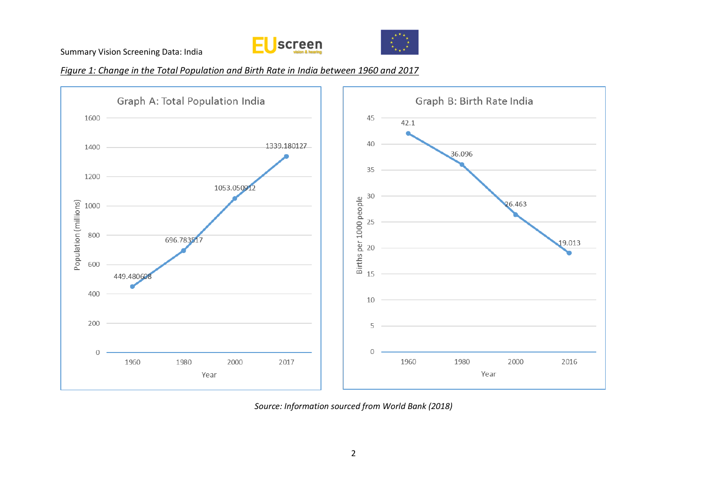



*Figure 1: Change in the Total Population and Birth Rate in India between 1960 and 2017*



*Source: Information sourced from World Bank (2018)*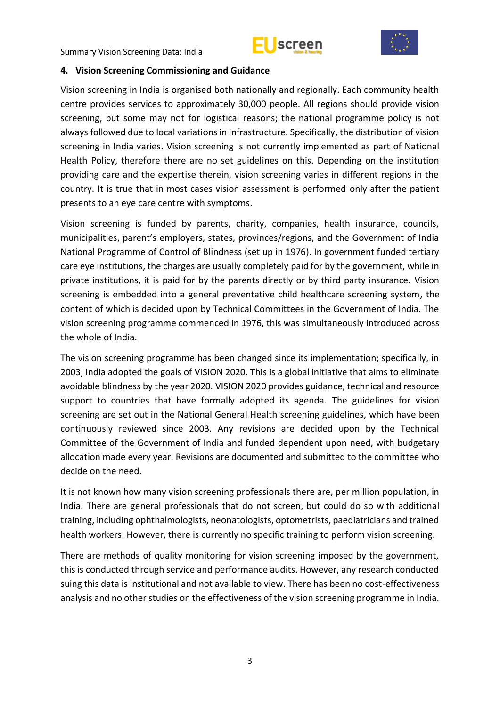



### <span id="page-8-0"></span>**4. Vision Screening Commissioning and Guidance**

Vision screening in India is organised both nationally and regionally. Each community health centre provides services to approximately 30,000 people. All regions should provide vision screening, but some may not for logistical reasons; the national programme policy is not always followed due to local variations in infrastructure. Specifically, the distribution of vision screening in India varies. Vision screening is not currently implemented as part of National Health Policy, therefore there are no set guidelines on this. Depending on the institution providing care and the expertise therein, vision screening varies in different regions in the country. It is true that in most cases vision assessment is performed only after the patient presents to an eye care centre with symptoms.

Vision screening is funded by parents, charity, companies, health insurance, councils, municipalities, parent's employers, states, provinces/regions, and the Government of India National Programme of Control of Blindness (set up in 1976). In government funded tertiary care eye institutions, the charges are usually completely paid for by the government, while in private institutions, it is paid for by the parents directly or by third party insurance. Vision screening is embedded into a general preventative child healthcare screening system, the content of which is decided upon by Technical Committees in the Government of India. The vision screening programme commenced in 1976, this was simultaneously introduced across the whole of India.

The vision screening programme has been changed since its implementation; specifically, in 2003, India adopted the goals of VISION 2020. This is a global initiative that aims to eliminate avoidable blindness by the year 2020. VISION 2020 provides guidance, technical and resource support to countries that have formally adopted its agenda. The guidelines for vision screening are set out in the National General Health screening guidelines, which have been continuously reviewed since 2003. Any revisions are decided upon by the Technical Committee of the Government of India and funded dependent upon need, with budgetary allocation made every year. Revisions are documented and submitted to the committee who decide on the need.

It is not known how many vision screening professionals there are, per million population, in India. There are general professionals that do not screen, but could do so with additional training, including ophthalmologists, neonatologists, optometrists, paediatricians and trained health workers. However, there is currently no specific training to perform vision screening.

There are methods of quality monitoring for vision screening imposed by the government, this is conducted through service and performance audits. However, any research conducted suing this data is institutional and not available to view. There has been no cost-effectiveness analysis and no other studies on the effectiveness of the vision screening programme in India.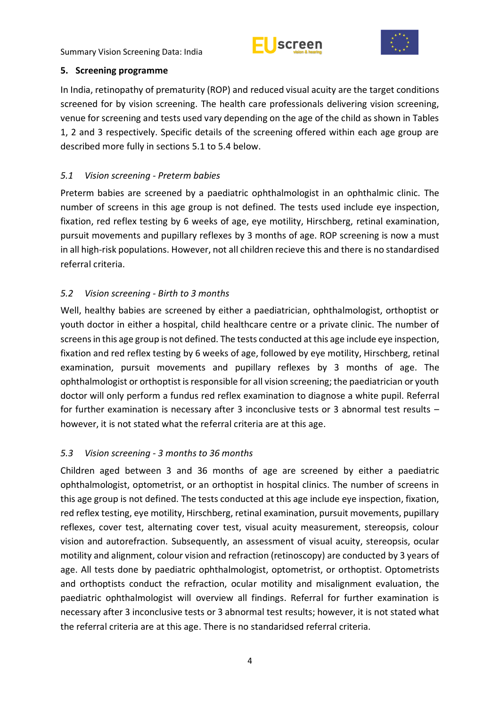



### <span id="page-9-0"></span>**5. Screening programme**

In India, retinopathy of prematurity (ROP) and reduced visual acuity are the target conditions screened for by vision screening. The health care professionals delivering vision screening, venue for screening and tests used vary depending on the age of the child as shown in Tables 1, 2 and 3 respectively. Specific details of the screening offered within each age group are described more fully in sections 5.1 to 5.4 below.

# <span id="page-9-1"></span>*5.1 Vision screening - Preterm babies*

Preterm babies are screened by a paediatric ophthalmologist in an ophthalmic clinic. The number of screens in this age group is not defined. The tests used include eye inspection, fixation, red reflex testing by 6 weeks of age, eye motility, Hirschberg, retinal examination, pursuit movements and pupillary reflexes by 3 months of age. ROP screening is now a must in all high-risk populations. However, not all children recieve this and there is no standardised referral criteria.

# <span id="page-9-2"></span>*5.2 Vision screening - Birth to 3 months*

Well, healthy babies are screened by either a paediatrician, ophthalmologist, orthoptist or youth doctor in either a hospital, child healthcare centre or a private clinic. The number of screens in this age group is not defined. The tests conducted at this age include eye inspection, fixation and red reflex testing by 6 weeks of age, followed by eye motility, Hirschberg, retinal examination, pursuit movements and pupillary reflexes by 3 months of age. The ophthalmologist or orthoptist is responsible for all vision screening; the paediatrician or youth doctor will only perform a fundus red reflex examination to diagnose a white pupil. Referral for further examination is necessary after 3 inconclusive tests or 3 abnormal test results – however, it is not stated what the referral criteria are at this age.

## <span id="page-9-3"></span>*5.3 Vision screening - 3 months to 36 months*

Children aged between 3 and 36 months of age are screened by either a paediatric ophthalmologist, optometrist, or an orthoptist in hospital clinics. The number of screens in this age group is not defined. The tests conducted at this age include eye inspection, fixation, red reflex testing, eye motility, Hirschberg, retinal examination, pursuit movements, pupillary reflexes, cover test, alternating cover test, visual acuity measurement, stereopsis, colour vision and autorefraction. Subsequently, an assessment of visual acuity, stereopsis, ocular motility and alignment, colour vision and refraction (retinoscopy) are conducted by 3 years of age. All tests done by paediatric ophthalmologist, optometrist, or orthoptist. Optometrists and orthoptists conduct the refraction, ocular motility and misalignment evaluation, the paediatric ophthalmologist will overview all findings. Referral for further examination is necessary after 3 inconclusive tests or 3 abnormal test results; however, it is not stated what the referral criteria are at this age. There is no standaridsed referral criteria.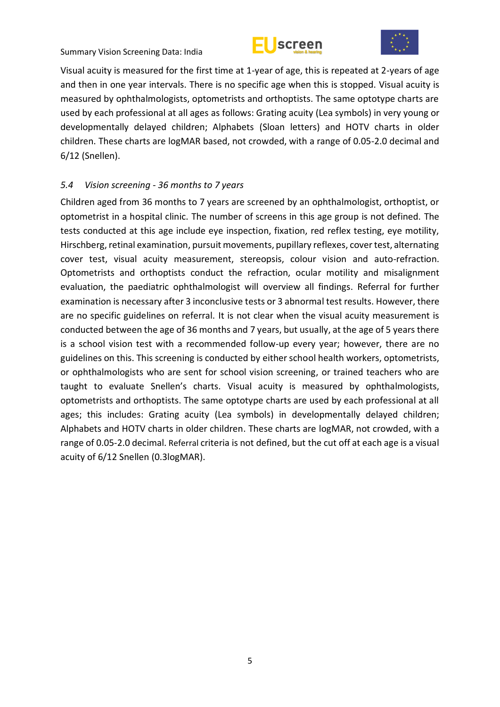



Visual acuity is measured for the first time at 1-year of age, this is repeated at 2-years of age and then in one year intervals. There is no specific age when this is stopped. Visual acuity is measured by ophthalmologists, optometrists and orthoptists. The same optotype charts are used by each professional at all ages as follows: Grating acuity (Lea symbols) in very young or developmentally delayed children; Alphabets (Sloan letters) and HOTV charts in older children. These charts are logMAR based, not crowded, with a range of 0.05-2.0 decimal and 6/12 (Snellen).

### <span id="page-10-0"></span>*5.4 Vision screening - 36 months to 7 years*

Children aged from 36 months to 7 years are screened by an ophthalmologist, orthoptist, or optometrist in a hospital clinic. The number of screens in this age group is not defined. The tests conducted at this age include eye inspection, fixation, red reflex testing, eye motility, Hirschberg, retinal examination, pursuit movements, pupillary reflexes, cover test, alternating cover test, visual acuity measurement, stereopsis, colour vision and auto-refraction. Optometrists and orthoptists conduct the refraction, ocular motility and misalignment evaluation, the paediatric ophthalmologist will overview all findings. Referral for further examination is necessary after 3 inconclusive tests or 3 abnormal test results. However, there are no specific guidelines on referral. It is not clear when the visual acuity measurement is conducted between the age of 36 months and 7 years, but usually, at the age of 5 years there is a school vision test with a recommended follow-up every year; however, there are no guidelines on this. This screening is conducted by either school health workers, optometrists, or ophthalmologists who are sent for school vision screening, or trained teachers who are taught to evaluate Snellen's charts. Visual acuity is measured by ophthalmologists, optometrists and orthoptists. The same optotype charts are used by each professional at all ages; this includes: Grating acuity (Lea symbols) in developmentally delayed children; Alphabets and HOTV charts in older children. These charts are logMAR, not crowded, with a range of 0.05-2.0 decimal. Referral criteria is not defined, but the cut off at each age is a visual acuity of 6/12 Snellen (0.3logMAR).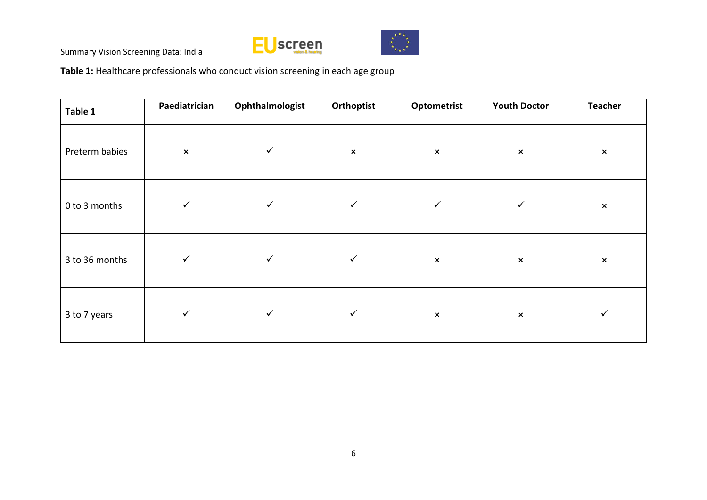



**Table 1:** Healthcare professionals who conduct vision screening in each age group

| Table 1        | Paediatrician  | Ophthalmologist | Orthoptist     | Optometrist    | <b>Youth Doctor</b> | <b>Teacher</b> |
|----------------|----------------|-----------------|----------------|----------------|---------------------|----------------|
| Preterm babies | $\pmb{\times}$ | $\checkmark$    | $\pmb{\times}$ | $\pmb{\times}$ | $\pmb{\times}$      | $\pmb{\times}$ |
| 0 to 3 months  | $\checkmark$   | $\checkmark$    | $\checkmark$   | $\checkmark$   | $\checkmark$        | $\pmb{\times}$ |
| 3 to 36 months | $\checkmark$   | $\checkmark$    | $\checkmark$   | $\pmb{\times}$ | $\pmb{\times}$      | $\pmb{\times}$ |
| 3 to 7 years   | $\checkmark$   | $\checkmark$    | $\checkmark$   | $\pmb{\times}$ | $\pmb{\times}$      | ✓              |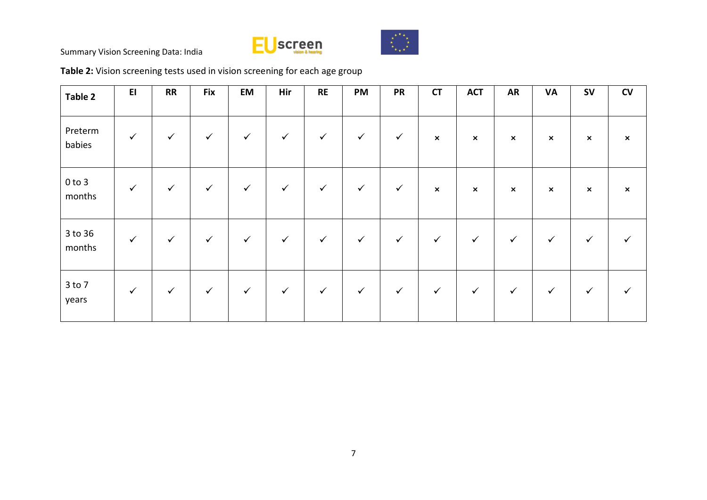



# **Table 2:** Vision screening tests used in vision screening for each age group

| Table 2              | E1           | RR           | <b>Fix</b>   | EM           | Hir          | RE           | PM           | <b>PR</b>    | <b>CT</b>      | <b>ACT</b>                | <b>AR</b>                 | <b>VA</b>                 | <b>SV</b>      | CV                        |
|----------------------|--------------|--------------|--------------|--------------|--------------|--------------|--------------|--------------|----------------|---------------------------|---------------------------|---------------------------|----------------|---------------------------|
| Preterm<br>babies    | $\checkmark$ | $\checkmark$ | $\checkmark$ | $\checkmark$ | $\checkmark$ | $\checkmark$ | $\checkmark$ | $\checkmark$ | $\pmb{\times}$ | $\boldsymbol{\mathsf{x}}$ | $\boldsymbol{\mathsf{x}}$ | $\boldsymbol{\mathsf{x}}$ | $\pmb{\times}$ | $\boldsymbol{\mathsf{x}}$ |
| $0$ to $3$<br>months | $\checkmark$ | $\checkmark$ | $\checkmark$ | $\checkmark$ | $\checkmark$ | $\checkmark$ | $\checkmark$ | $\checkmark$ | $\pmb{\times}$ | $\pmb{\times}$            | $\boldsymbol{\mathsf{x}}$ | $\boldsymbol{\mathsf{x}}$ | $\pmb{\times}$ | $\boldsymbol{\mathsf{x}}$ |
| 3 to 36<br>months    | $\checkmark$ | $\checkmark$ | $\checkmark$ | $\checkmark$ | $\checkmark$ | $\checkmark$ | $\checkmark$ | $\checkmark$ | $\checkmark$   | $\checkmark$              | $\checkmark$              | $\checkmark$              | ✓              |                           |
| $3$ to $7$<br>years  | $\checkmark$ | $\checkmark$ | $\checkmark$ | $\checkmark$ | $\checkmark$ | $\checkmark$ | $\checkmark$ | $\checkmark$ | $\checkmark$   | $\checkmark$              | $\checkmark$              | $\checkmark$              | ✓              |                           |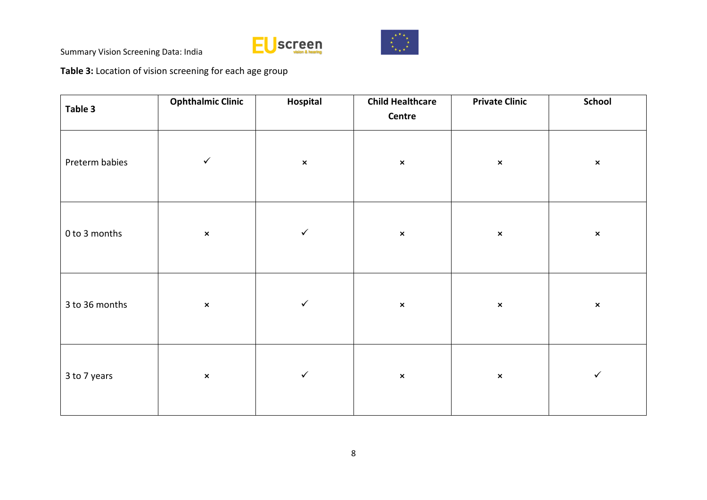



**Table 3:** Location of vision screening for each age group

| Table 3        | <b>Ophthalmic Clinic</b> | Hospital       | <b>Child Healthcare</b><br>Centre | <b>Private Clinic</b> | School         |  |
|----------------|--------------------------|----------------|-----------------------------------|-----------------------|----------------|--|
| Preterm babies | $\checkmark$             | $\pmb{\times}$ | $\pmb{\times}$                    | $\pmb{\times}$        | $\pmb{\times}$ |  |
| 0 to 3 months  | $\pmb{\times}$           | $\checkmark$   | $\pmb{\times}$                    | $\pmb{\times}$        | $\pmb{\times}$ |  |
| 3 to 36 months | $\pmb{\times}$           | $\checkmark$   | $\pmb{\times}$                    | $\pmb{\times}$        | $\pmb{\times}$ |  |
| 3 to 7 years   | $\pmb{\times}$           | $\checkmark$   | $\pmb{\times}$                    | $\pmb{\times}$        | $\checkmark$   |  |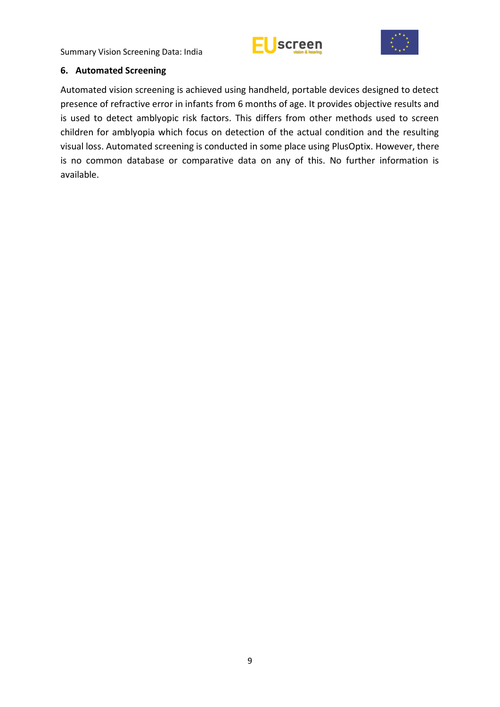



### <span id="page-14-0"></span>**6. Automated Screening**

Automated vision screening is achieved using handheld, portable devices designed to detect presence of refractive error in infants from 6 months of age. It provides objective results and is used to detect amblyopic risk factors. This differs from other methods used to screen children for amblyopia which focus on detection of the actual condition and the resulting visual loss. Automated screening is conducted in some place using PlusOptix. However, there is no common database or comparative data on any of this. No further information is available.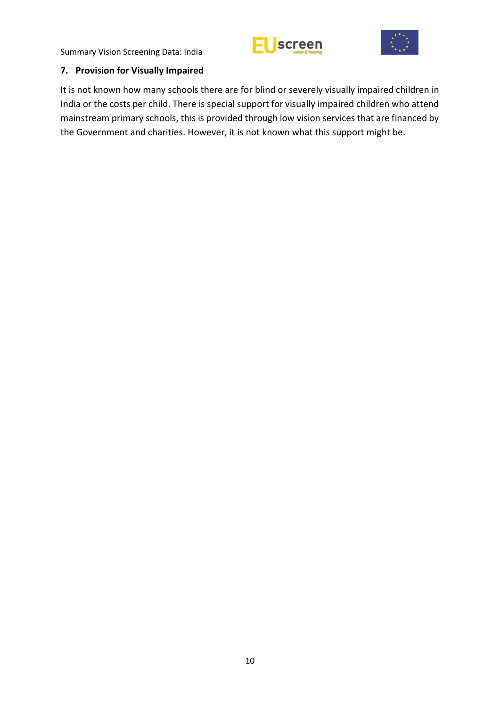



### <span id="page-15-0"></span>**7. Provision for Visually Impaired**

It is not known how many schools there are for blind or severely visually impaired children in India or the costs per child. There is special support for visually impaired children who attend mainstream primary schools, this is provided through low vision services that are financed by the Government and charities. However, it is not known what this support might be.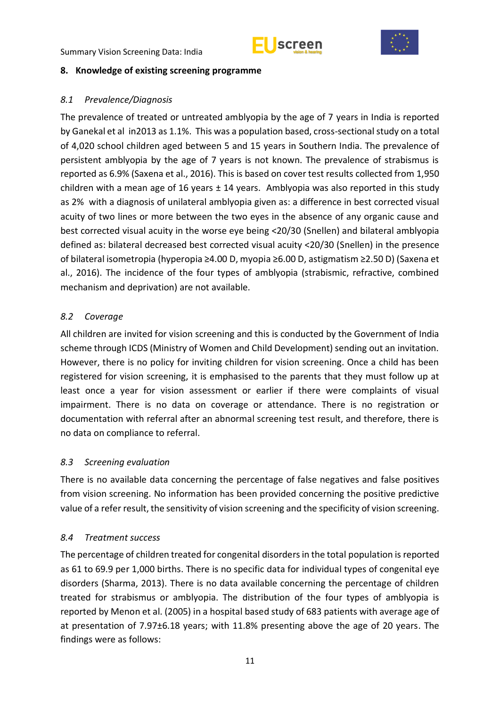



### <span id="page-16-0"></span>**8. Knowledge of existing screening programme**

### <span id="page-16-1"></span>*8.1 Prevalence/Diagnosis*

The prevalence of treated or untreated amblyopia by the age of 7 years in India is reported by Ganekal et al in2013 as 1.1%. This was a population based, cross-sectional study on a total of 4,020 school children aged between 5 and 15 years in Southern India. The prevalence of persistent amblyopia by the age of 7 years is not known. The prevalence of strabismus is reported as 6.9% (Saxena et al., 2016). This is based on cover test results collected from 1,950 children with a mean age of 16 years  $\pm$  14 years. Amblyopia was also reported in this study as 2% with a diagnosis of unilateral amblyopia given as: a difference in best corrected visual acuity of two lines or more between the two eyes in the absence of any organic cause and best corrected visual acuity in the worse eye being <20/30 (Snellen) and bilateral amblyopia defined as: bilateral decreased best corrected visual acuity <20/30 (Snellen) in the presence of bilateral isometropia (hyperopia ≥4.00 D, myopia ≥6.00 D, astigmatism ≥2.50 D) (Saxena et al., 2016). The incidence of the four types of amblyopia (strabismic, refractive, combined mechanism and deprivation) are not available.

## <span id="page-16-2"></span>*8.2 Coverage*

All children are invited for vision screening and this is conducted by the Government of India scheme through ICDS (Ministry of Women and Child Development) sending out an invitation. However, there is no policy for inviting children for vision screening. Once a child has been registered for vision screening, it is emphasised to the parents that they must follow up at least once a year for vision assessment or earlier if there were complaints of visual impairment. There is no data on coverage or attendance. There is no registration or documentation with referral after an abnormal screening test result, and therefore, there is no data on compliance to referral.

## <span id="page-16-3"></span>*8.3 Screening evaluation*

There is no available data concerning the percentage of false negatives and false positives from vision screening. No information has been provided concerning the positive predictive value of a refer result, the sensitivity of vision screening and the specificity of vision screening.

## <span id="page-16-4"></span>*8.4 Treatment success*

The percentage of children treated for congenital disorders in the total population is reported as 61 to 69.9 per 1,000 births. There is no specific data for individual types of congenital eye disorders (Sharma, 2013). There is no data available concerning the percentage of children treated for strabismus or amblyopia. The distribution of the four types of amblyopia is reported by Menon et al. (2005) in a hospital based study of 683 patients with average age of at presentation of 7.97±6.18 years; with 11.8% presenting above the age of 20 years. The findings were as follows: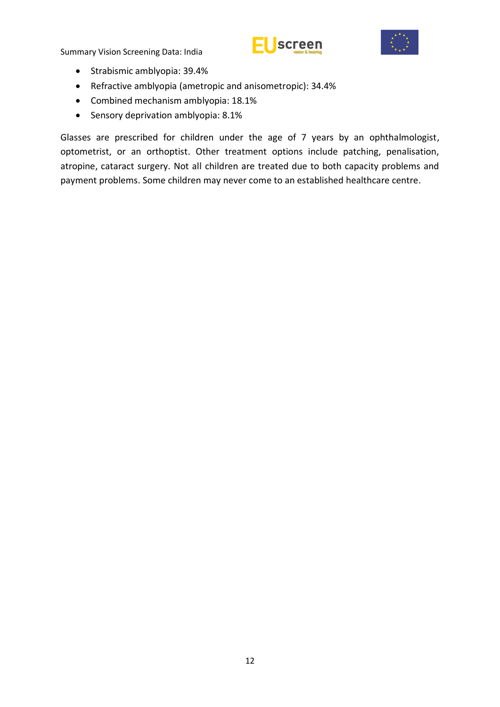



- Strabismic amblyopia: 39.4%
- Refractive amblyopia (ametropic and anisometropic): 34.4%
- Combined mechanism amblyopia: 18.1%
- Sensory deprivation amblyopia: 8.1%

Glasses are prescribed for children under the age of 7 years by an ophthalmologist, optometrist, or an orthoptist. Other treatment options include patching, penalisation, atropine, cataract surgery. Not all children are treated due to both capacity problems and payment problems. Some children may never come to an established healthcare centre.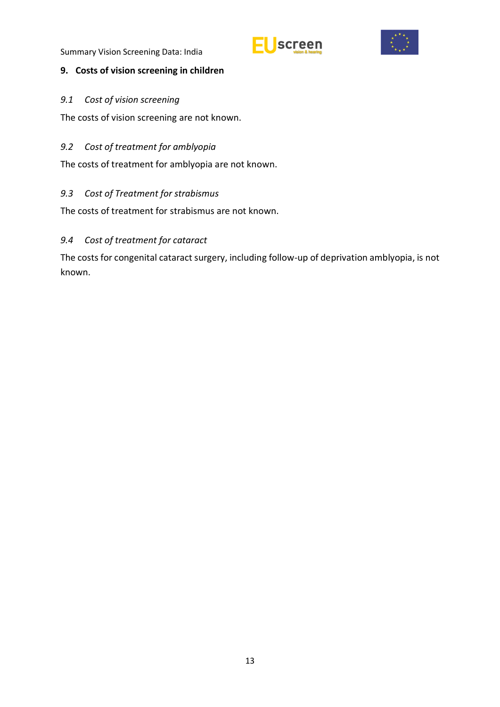



## <span id="page-18-0"></span>**9. Costs of vision screening in children**

<span id="page-18-1"></span>*9.1 Cost of vision screening* 

The costs of vision screening are not known.

# <span id="page-18-2"></span>*9.2 Cost of treatment for amblyopia*

The costs of treatment for amblyopia are not known.

# <span id="page-18-3"></span>*9.3 Cost of Treatment for strabismus*

The costs of treatment for strabismus are not known.

# <span id="page-18-4"></span>*9.4 Cost of treatment for cataract*

The costs for congenital cataract surgery, including follow-up of deprivation amblyopia, is not known.